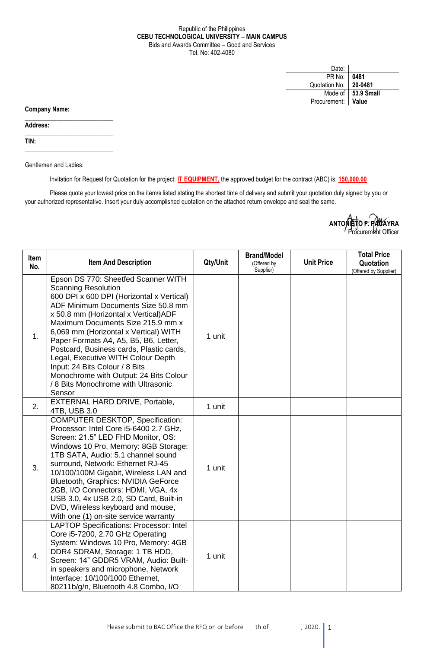## Republic of the Philippines **CEBU TECHNOLOGICAL UNIVERSITY – MAIN CAMPUS** Bids and Awards Committee – Good and Services Tel. No: 402-4080

| Date:                |                     |
|----------------------|---------------------|
| PR No:               | 0481                |
| Quotation No:        | 20-0481             |
|                      | Mode of 153.9 Small |
| Procurement:   Value |                     |

**Company Name:**

**Address:** 

**TIN:**

Gentlemen and Ladies:

 $\_$ 

 $\_$ 

\_\_\_\_\_\_\_\_\_\_\_\_\_\_\_\_\_\_\_\_\_\_\_\_\_\_\_\_

Invitation for Request for Quotation for the project: **IT EQUIPMENT,** the approved budget for the contract (ABC) is: **150,000.00**

Please quote your lowest price on the item/s listed stating the shortest time of delivery and submit your quotation duly signed by you or your authorized representative. Insert your duly accomplished quotation on the attached return envelope and seal the same.



| <b>Item</b><br>No. | <b>Item And Description</b>                                                                                                                                                                                                                                                                                                                                                                                                                                                                                                        | Qty/Unit | <b>Brand/Model</b><br>(Offered by<br>Supplier) | <b>Unit Price</b> | <b>Total Price</b><br>Quotation<br>(Offered by Supplier) |
|--------------------|------------------------------------------------------------------------------------------------------------------------------------------------------------------------------------------------------------------------------------------------------------------------------------------------------------------------------------------------------------------------------------------------------------------------------------------------------------------------------------------------------------------------------------|----------|------------------------------------------------|-------------------|----------------------------------------------------------|
| 1.                 | Epson DS 770: Sheetfed Scanner WITH<br><b>Scanning Resolution</b><br>600 DPI x 600 DPI (Horizontal x Vertical)<br>ADF Minimum Documents Size 50.8 mm<br>x 50.8 mm (Horizontal x Vertical)ADF<br>Maximum Documents Size 215.9 mm x<br>6,069 mm (Horizontal x Vertical) WITH<br>Paper Formats A4, A5, B5, B6, Letter,<br>Postcard, Business cards, Plastic cards,<br>Legal, Executive WITH Colour Depth<br>Input: 24 Bits Colour / 8 Bits<br>Monochrome with Output: 24 Bits Colour<br>/ 8 Bits Monochrome with Ultrasonic<br>Sensor | 1 unit   |                                                |                   |                                                          |
| 2.                 | EXTERNAL HARD DRIVE, Portable,<br>4TB, USB 3.0                                                                                                                                                                                                                                                                                                                                                                                                                                                                                     | 1 unit   |                                                |                   |                                                          |
| 3.                 | <b>COMPUTER DESKTOP, Specification:</b><br>Processor: Intel Core i5-6400 2.7 GHz,<br>Screen: 21.5" LED FHD Monitor, OS:<br>Windows 10 Pro, Memory: 8GB Storage:<br>1TB SATA, Audio: 5.1 channel sound<br>surround, Network: Ethernet RJ-45<br>10/100/100M Gigabit, Wireless LAN and<br>Bluetooth, Graphics: NVIDIA GeForce<br>2GB, I/O Connectors: HDMI, VGA, 4x<br>USB 3.0, 4x USB 2.0, SD Card, Built-in<br>DVD, Wireless keyboard and mouse,<br>With one (1) on-site service warranty                                           | 1 unit   |                                                |                   |                                                          |
| 4.                 | <b>LAPTOP Specifications: Processor: Intel</b><br>Core i5-7200, 2.70 GHz Operating<br>System: Windows 10 Pro, Memory: 4GB<br>DDR4 SDRAM, Storage: 1 TB HDD,<br>Screen: 14" GDDR5 VRAM, Audio: Built-<br>in speakers and microphone, Network<br>Interface: 10/100/1000 Ethernet,<br>80211b/g/n, Bluetooth 4.8 Combo, I/O                                                                                                                                                                                                            | 1 unit   |                                                |                   |                                                          |